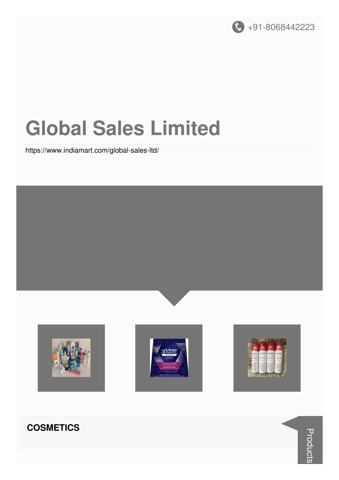

# **Global Sales Limited**

https://www.indiamart.com/global-sales-ltd/











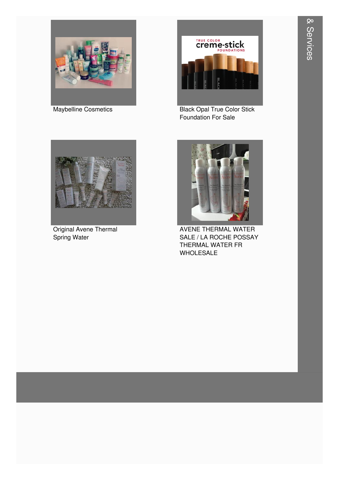

Maybelline Cosmetics



**Black Opal True Color Stick** Foundation For Sale



Original Avene Thermal Spring Water



**AVENE THERMAL WATER** SALE / LA ROCHE POSSAY THERMAL WATER FR **WHOLESALE**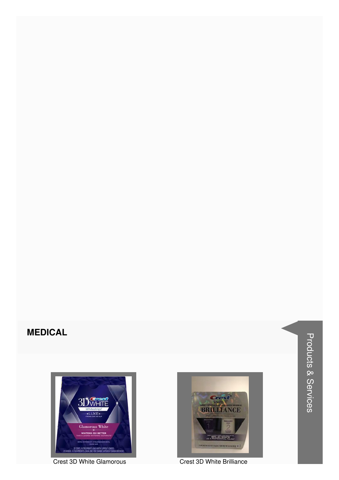#### **MEDICAL**



Crest 3D White Glamorous



Crest 3D White Brilliance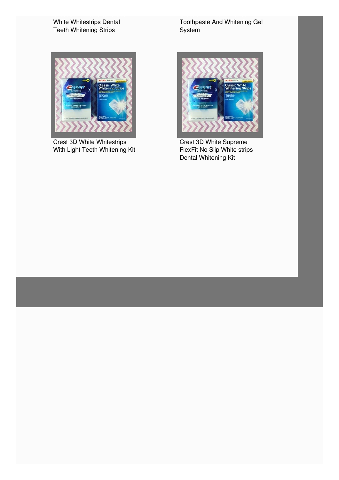White Whitestrips Dental Teeth Whitening Strips

Crest 3D White Glamorous



Crest 3D White Whitestrips With Light Teeth Whitening Kit

Toothpaste And Whitening Gel **System** 

Crest 3D White Brilliance



Crest 3D White Supreme FlexFit No Slip White strips Dental Whitening Kit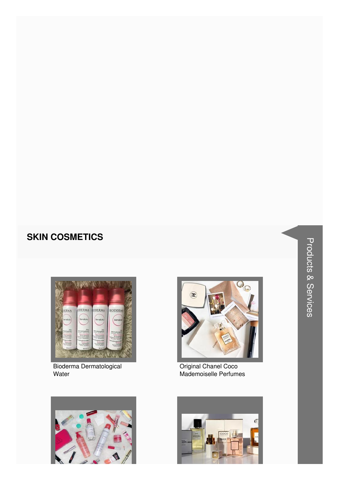#### **SKIN COSMETICS**



Bioderma Dermatological Water



Original Chanel Coco Mademoiselle Perfumes



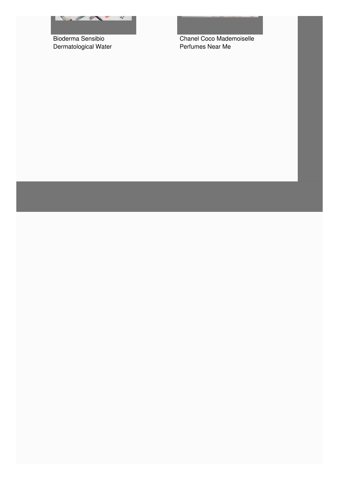

Bioderma Sensibio Dermatological Water C h a n el C o c o M a d e m ois elle Perfumes Near Me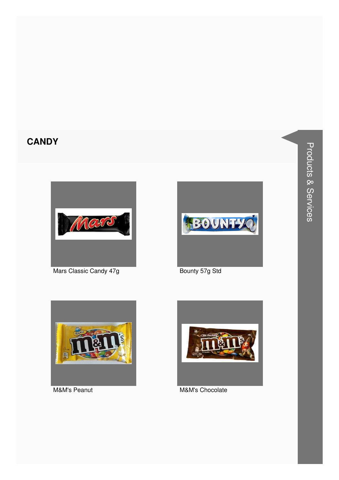#### **CANDY**



Mars Classic Candy 47g



Bounty 57g Std



M&M's Peanut



M&M's Chocolate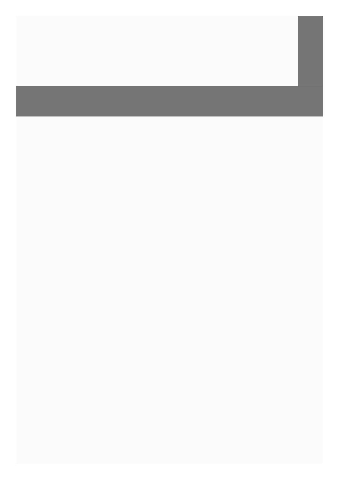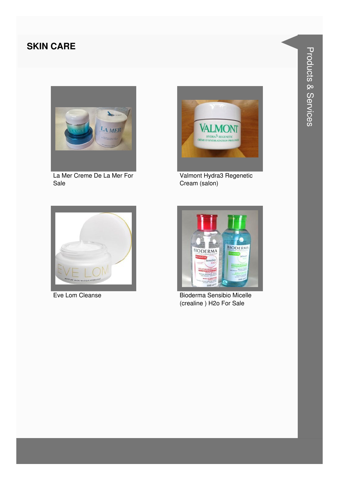### **SKIN CARE**



La Mer Creme De La Mer For Sale



Valmont Hydra3 Regenetic Cream (salon)



Eve Lom Cleanse



Bioderma Sensibio Micelle (crealine) H2o For Sale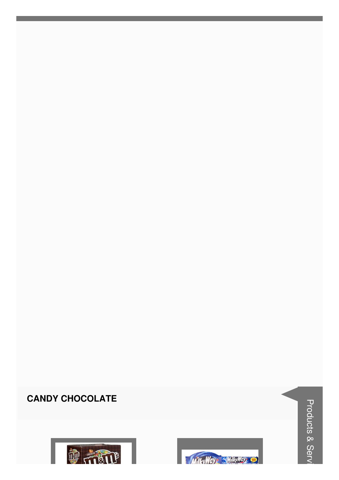





Products & Servi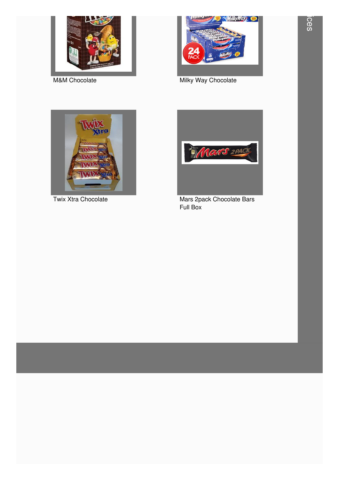

M&M Chocolate



Milky Way Chocolate



Twix Xtra Chocolate



Mars 2pack Chocolate Bars Full Box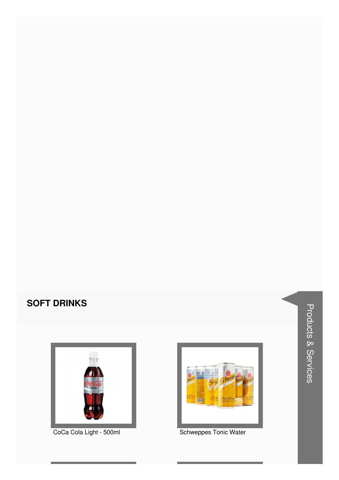#### SOFT DRINKS



CoCa Cola Light - 500n



ml Schweppes Tonic Water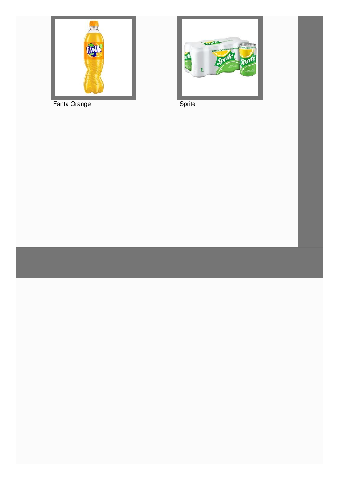

Fanta Orange **Sprite** Sprite

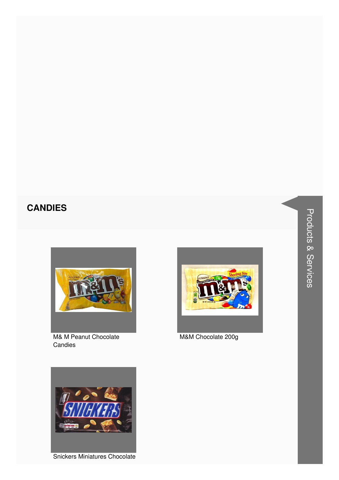## **CANDIES**



M& M Peanut Chocolate Candies



M&M Chocolate 200g

# **Products & Services**

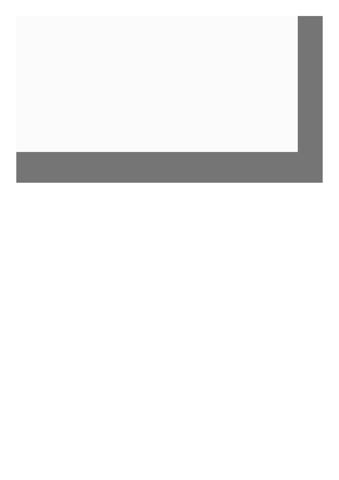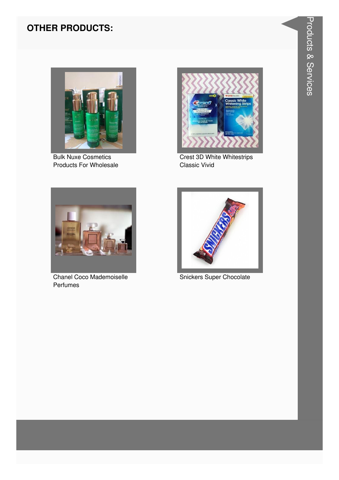### **OTHER PRODUCTS:**



**Bulk Nuxe Cosmetics Products For Wholesale** 



Crest 3D White Whitestrips **Classic Vivid** 



**Chanel Coco Mademoiselle** Perfumes



Snickers Super Chocolate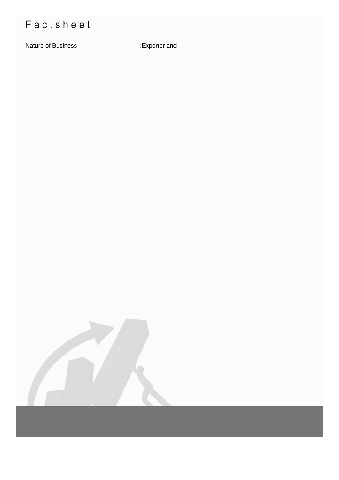# Factsheet

Nature of Business

:Exporter and